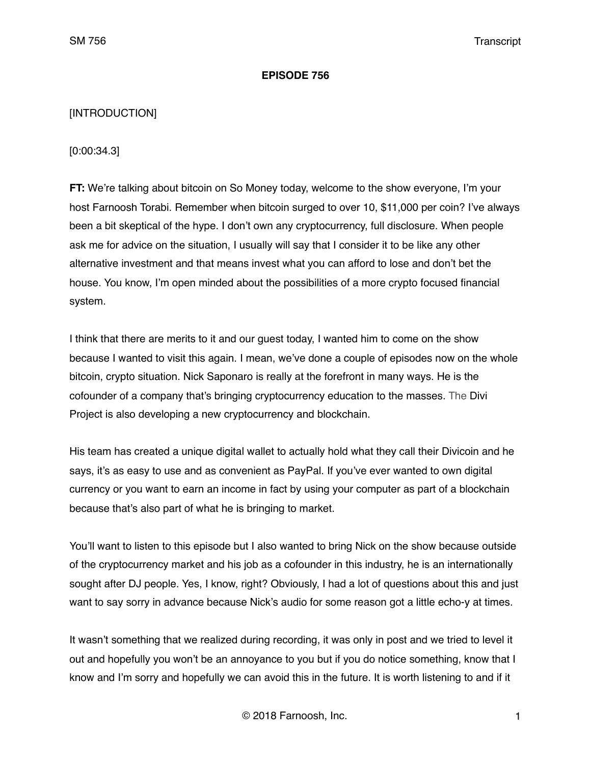### **EPISODE 756**

## [INTRODUCTION]

[0:00:34.3]

**FT:** We're talking about bitcoin on So Money today, welcome to the show everyone, I'm your host Farnoosh Torabi. Remember when bitcoin surged to over 10, \$11,000 per coin? I've always been a bit skeptical of the hype. I don't own any cryptocurrency, full disclosure. When people ask me for advice on the situation, I usually will say that I consider it to be like any other alternative investment and that means invest what you can afford to lose and don't bet the house. You know, I'm open minded about the possibilities of a more crypto focused financial system.

I think that there are merits to it and our guest today, I wanted him to come on the show because I wanted to visit this again. I mean, we've done a couple of episodes now on the whole bitcoin, crypto situation. Nick Saponaro is really at the forefront in many ways. He is the cofounder of a company that's bringing cryptocurrency education to the masses. The Divi Project is also developing a new cryptocurrency and blockchain.

His team has created a unique digital wallet to actually hold what they call their Divicoin and he says, it's as easy to use and as convenient as PayPal. If you've ever wanted to own digital currency or you want to earn an income in fact by using your computer as part of a blockchain because that's also part of what he is bringing to market.

You'll want to listen to this episode but I also wanted to bring Nick on the show because outside of the cryptocurrency market and his job as a cofounder in this industry, he is an internationally sought after DJ people. Yes, I know, right? Obviously, I had a lot of questions about this and just want to say sorry in advance because Nick's audio for some reason got a little echo-y at times.

It wasn't something that we realized during recording, it was only in post and we tried to level it out and hopefully you won't be an annoyance to you but if you do notice something, know that I know and I'm sorry and hopefully we can avoid this in the future. It is worth listening to and if it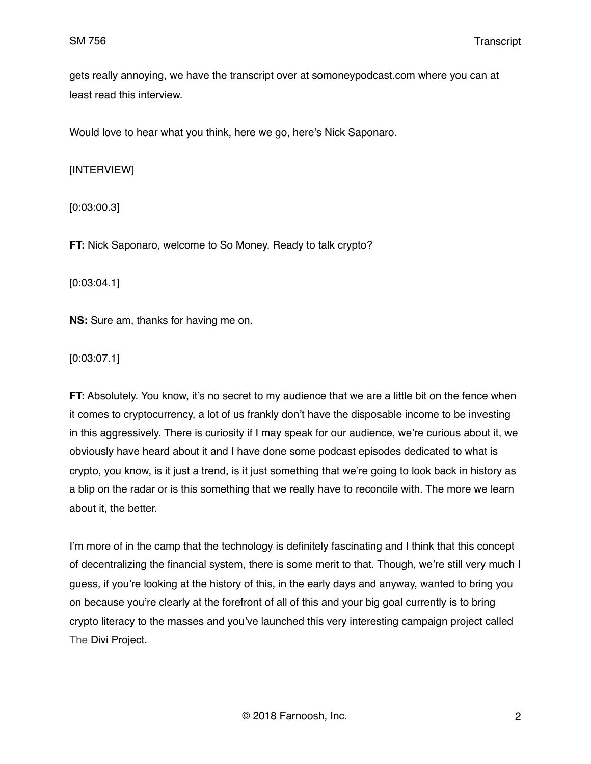gets really annoying, we have the transcript over at somoneypodcast.com where you can at least read this interview.

Would love to hear what you think, here we go, here's Nick Saponaro.

[INTERVIEW]

[0:03:00.3]

**FT:** Nick Saponaro, welcome to So Money. Ready to talk crypto?

[0:03:04.1]

**NS:** Sure am, thanks for having me on.

[0:03:07.1]

**FT:** Absolutely. You know, it's no secret to my audience that we are a little bit on the fence when it comes to cryptocurrency, a lot of us frankly don't have the disposable income to be investing in this aggressively. There is curiosity if I may speak for our audience, we're curious about it, we obviously have heard about it and I have done some podcast episodes dedicated to what is crypto, you know, is it just a trend, is it just something that we're going to look back in history as a blip on the radar or is this something that we really have to reconcile with. The more we learn about it, the better.

I'm more of in the camp that the technology is definitely fascinating and I think that this concept of decentralizing the financial system, there is some merit to that. Though, we're still very much I guess, if you're looking at the history of this, in the early days and anyway, wanted to bring you on because you're clearly at the forefront of all of this and your big goal currently is to bring crypto literacy to the masses and you've launched this very interesting campaign project called The Divi Project.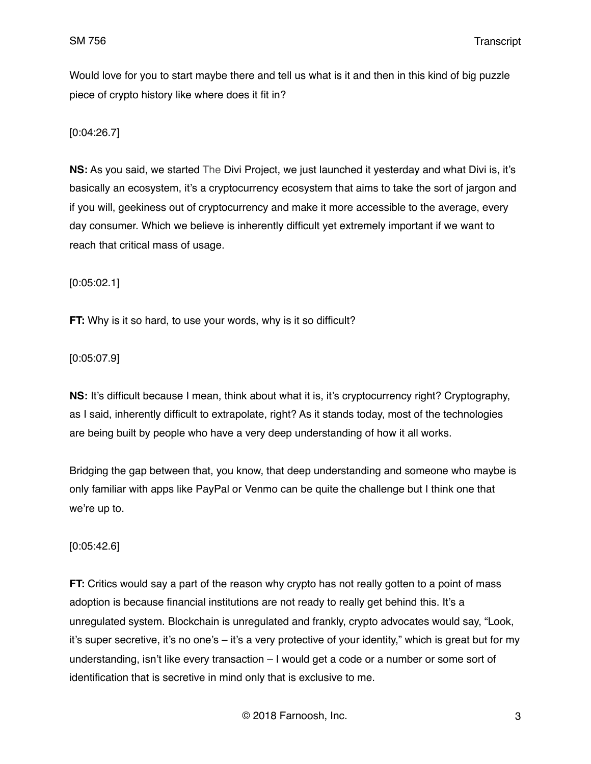Would love for you to start maybe there and tell us what is it and then in this kind of big puzzle piece of crypto history like where does it fit in?

[0:04:26.7]

**NS:** As you said, we started The Divi Project, we just launched it yesterday and what Divi is, it's basically an ecosystem, it's a cryptocurrency ecosystem that aims to take the sort of jargon and if you will, geekiness out of cryptocurrency and make it more accessible to the average, every day consumer. Which we believe is inherently difficult yet extremely important if we want to reach that critical mass of usage.

[0:05:02.1]

**FT:** Why is it so hard, to use your words, why is it so difficult?

[0:05:07.9]

**NS:** It's difficult because I mean, think about what it is, it's cryptocurrency right? Cryptography, as I said, inherently difficult to extrapolate, right? As it stands today, most of the technologies are being built by people who have a very deep understanding of how it all works.

Bridging the gap between that, you know, that deep understanding and someone who maybe is only familiar with apps like PayPal or Venmo can be quite the challenge but I think one that we're up to.

[0:05:42.6]

**FT:** Critics would say a part of the reason why crypto has not really gotten to a point of mass adoption is because financial institutions are not ready to really get behind this. It's a unregulated system. Blockchain is unregulated and frankly, crypto advocates would say, "Look, it's super secretive, it's no one's – it's a very protective of your identity," which is great but for my understanding, isn't like every transaction – I would get a code or a number or some sort of identification that is secretive in mind only that is exclusive to me.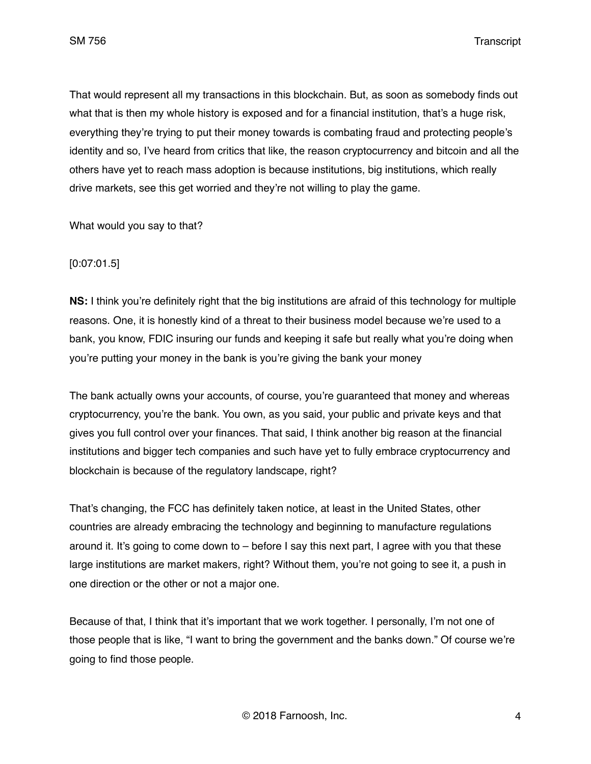SM 756 Transcript

That would represent all my transactions in this blockchain. But, as soon as somebody finds out what that is then my whole history is exposed and for a financial institution, that's a huge risk, everything they're trying to put their money towards is combating fraud and protecting people's identity and so, I've heard from critics that like, the reason cryptocurrency and bitcoin and all the others have yet to reach mass adoption is because institutions, big institutions, which really drive markets, see this get worried and they're not willing to play the game.

What would you say to that?

### [0:07:01.5]

**NS:** I think you're definitely right that the big institutions are afraid of this technology for multiple reasons. One, it is honestly kind of a threat to their business model because we're used to a bank, you know, FDIC insuring our funds and keeping it safe but really what you're doing when you're putting your money in the bank is you're giving the bank your money

The bank actually owns your accounts, of course, you're guaranteed that money and whereas cryptocurrency, you're the bank. You own, as you said, your public and private keys and that gives you full control over your finances. That said, I think another big reason at the financial institutions and bigger tech companies and such have yet to fully embrace cryptocurrency and blockchain is because of the regulatory landscape, right?

That's changing, the FCC has definitely taken notice, at least in the United States, other countries are already embracing the technology and beginning to manufacture regulations around it. It's going to come down to  $-$  before I say this next part, I agree with you that these large institutions are market makers, right? Without them, you're not going to see it, a push in one direction or the other or not a major one.

Because of that, I think that it's important that we work together. I personally, I'm not one of those people that is like, "I want to bring the government and the banks down." Of course we're going to find those people.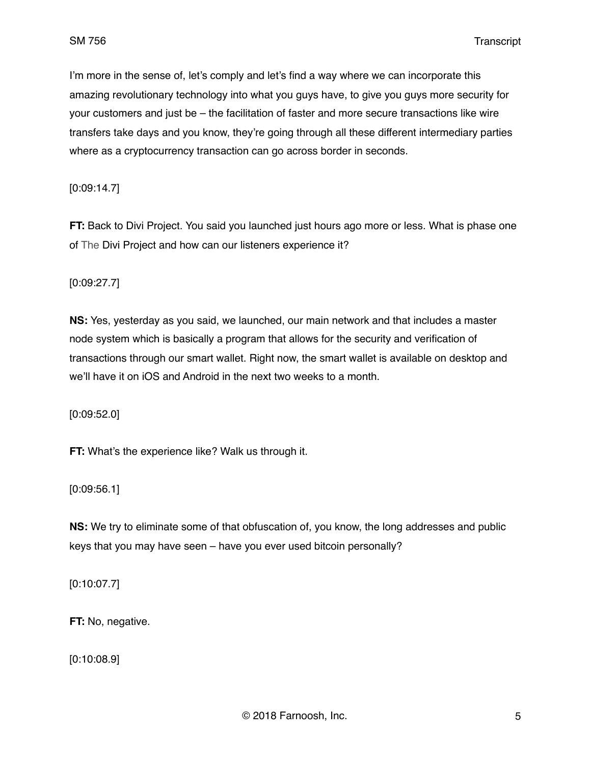I'm more in the sense of, let's comply and let's find a way where we can incorporate this amazing revolutionary technology into what you guys have, to give you guys more security for your customers and just be – the facilitation of faster and more secure transactions like wire transfers take days and you know, they're going through all these different intermediary parties where as a cryptocurrency transaction can go across border in seconds.

[0:09:14.7]

**FT:** Back to Divi Project. You said you launched just hours ago more or less. What is phase one of The Divi Project and how can our listeners experience it?

[0:09:27.7]

**NS:** Yes, yesterday as you said, we launched, our main network and that includes a master node system which is basically a program that allows for the security and verification of transactions through our smart wallet. Right now, the smart wallet is available on desktop and we'll have it on iOS and Android in the next two weeks to a month.

[0:09:52.0]

**FT:** What's the experience like? Walk us through it.

[0:09:56.1]

**NS:** We try to eliminate some of that obfuscation of, you know, the long addresses and public keys that you may have seen – have you ever used bitcoin personally?

[0:10:07.7]

**FT:** No, negative.

[0:10:08.9]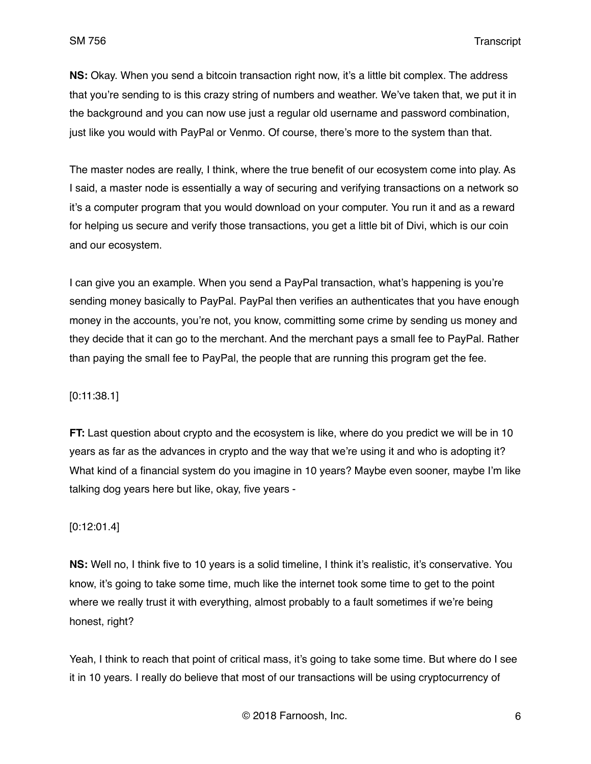**NS:** Okay. When you send a bitcoin transaction right now, it's a little bit complex. The address that you're sending to is this crazy string of numbers and weather. We've taken that, we put it in the background and you can now use just a regular old username and password combination, just like you would with PayPal or Venmo. Of course, there's more to the system than that.

The master nodes are really, I think, where the true benefit of our ecosystem come into play. As I said, a master node is essentially a way of securing and verifying transactions on a network so it's a computer program that you would download on your computer. You run it and as a reward for helping us secure and verify those transactions, you get a little bit of Divi, which is our coin and our ecosystem.

I can give you an example. When you send a PayPal transaction, what's happening is you're sending money basically to PayPal. PayPal then verifies an authenticates that you have enough money in the accounts, you're not, you know, committing some crime by sending us money and they decide that it can go to the merchant. And the merchant pays a small fee to PayPal. Rather than paying the small fee to PayPal, the people that are running this program get the fee.

### [0:11:38.1]

**FT:** Last question about crypto and the ecosystem is like, where do you predict we will be in 10 years as far as the advances in crypto and the way that we're using it and who is adopting it? What kind of a financial system do you imagine in 10 years? Maybe even sooner, maybe I'm like talking dog years here but like, okay, five years -

### [0:12:01.4]

**NS:** Well no, I think five to 10 years is a solid timeline, I think it's realistic, it's conservative. You know, it's going to take some time, much like the internet took some time to get to the point where we really trust it with everything, almost probably to a fault sometimes if we're being honest, right?

Yeah, I think to reach that point of critical mass, it's going to take some time. But where do I see it in 10 years. I really do believe that most of our transactions will be using cryptocurrency of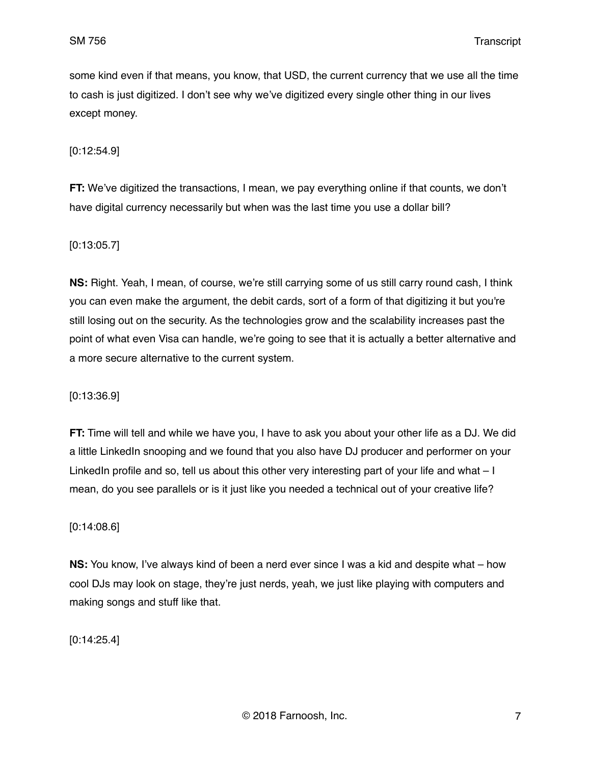some kind even if that means, you know, that USD, the current currency that we use all the time to cash is just digitized. I don't see why we've digitized every single other thing in our lives except money.

[0:12:54.9]

**FT:** We've digitized the transactions, I mean, we pay everything online if that counts, we don't have digital currency necessarily but when was the last time you use a dollar bill?

[0:13:05.7]

**NS:** Right. Yeah, I mean, of course, we're still carrying some of us still carry round cash, I think you can even make the argument, the debit cards, sort of a form of that digitizing it but you're still losing out on the security. As the technologies grow and the scalability increases past the point of what even Visa can handle, we're going to see that it is actually a better alternative and a more secure alternative to the current system.

#### [0:13:36.9]

**FT:** Time will tell and while we have you, I have to ask you about your other life as a DJ. We did a little LinkedIn snooping and we found that you also have DJ producer and performer on your LinkedIn profile and so, tell us about this other very interesting part of your life and what – I mean, do you see parallels or is it just like you needed a technical out of your creative life?

#### [0:14:08.6]

**NS:** You know, I've always kind of been a nerd ever since I was a kid and despite what – how cool DJs may look on stage, they're just nerds, yeah, we just like playing with computers and making songs and stuff like that.

[0:14:25.4]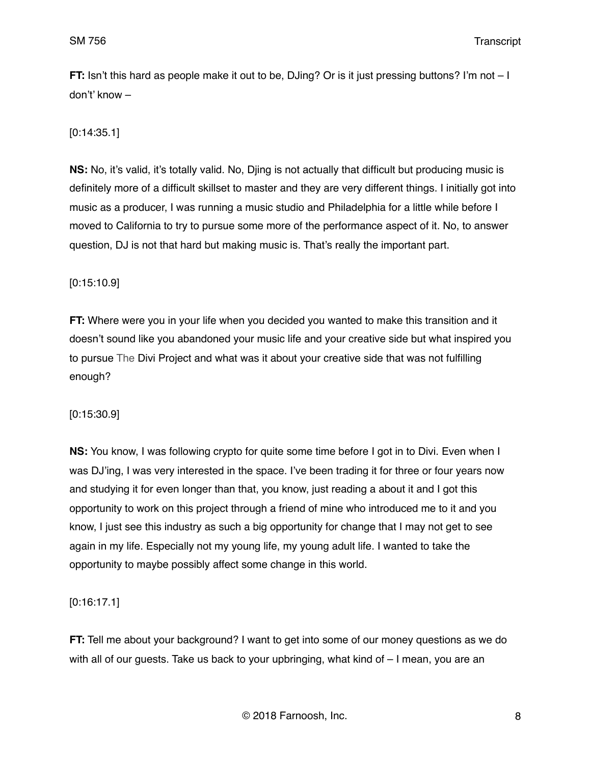**FT:** Isn't this hard as people make it out to be, DJing? Or is it just pressing buttons? I'm not – I don't' know –

## [0:14:35.1]

**NS:** No, it's valid, it's totally valid. No, Djing is not actually that difficult but producing music is definitely more of a difficult skillset to master and they are very different things. I initially got into music as a producer, I was running a music studio and Philadelphia for a little while before I moved to California to try to pursue some more of the performance aspect of it. No, to answer question, DJ is not that hard but making music is. That's really the important part.

## [0:15:10.9]

**FT:** Where were you in your life when you decided you wanted to make this transition and it doesn't sound like you abandoned your music life and your creative side but what inspired you to pursue The Divi Project and what was it about your creative side that was not fulfilling enough?

## [0:15:30.9]

**NS:** You know, I was following crypto for quite some time before I got in to Divi. Even when I was DJ'ing, I was very interested in the space. I've been trading it for three or four years now and studying it for even longer than that, you know, just reading a about it and I got this opportunity to work on this project through a friend of mine who introduced me to it and you know, I just see this industry as such a big opportunity for change that I may not get to see again in my life. Especially not my young life, my young adult life. I wanted to take the opportunity to maybe possibly affect some change in this world.

## [0:16:17.1]

**FT:** Tell me about your background? I want to get into some of our money questions as we do with all of our guests. Take us back to your upbringing, what kind of – I mean, you are an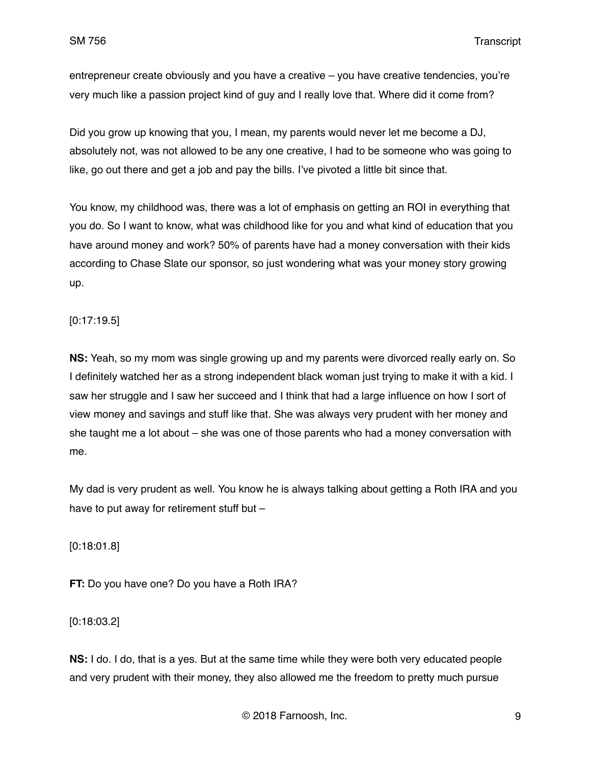entrepreneur create obviously and you have a creative – you have creative tendencies, you're very much like a passion project kind of guy and I really love that. Where did it come from?

Did you grow up knowing that you, I mean, my parents would never let me become a DJ, absolutely not, was not allowed to be any one creative, I had to be someone who was going to like, go out there and get a job and pay the bills. I've pivoted a little bit since that.

You know, my childhood was, there was a lot of emphasis on getting an ROI in everything that you do. So I want to know, what was childhood like for you and what kind of education that you have around money and work? 50% of parents have had a money conversation with their kids according to Chase Slate our sponsor, so just wondering what was your money story growing up.

[0:17:19.5]

**NS:** Yeah, so my mom was single growing up and my parents were divorced really early on. So I definitely watched her as a strong independent black woman just trying to make it with a kid. I saw her struggle and I saw her succeed and I think that had a large influence on how I sort of view money and savings and stuff like that. She was always very prudent with her money and she taught me a lot about – she was one of those parents who had a money conversation with me.

My dad is very prudent as well. You know he is always talking about getting a Roth IRA and you have to put away for retirement stuff but –

[0:18:01.8]

**FT:** Do you have one? Do you have a Roth IRA?

[0:18:03.2]

**NS:** I do. I do, that is a yes. But at the same time while they were both very educated people and very prudent with their money, they also allowed me the freedom to pretty much pursue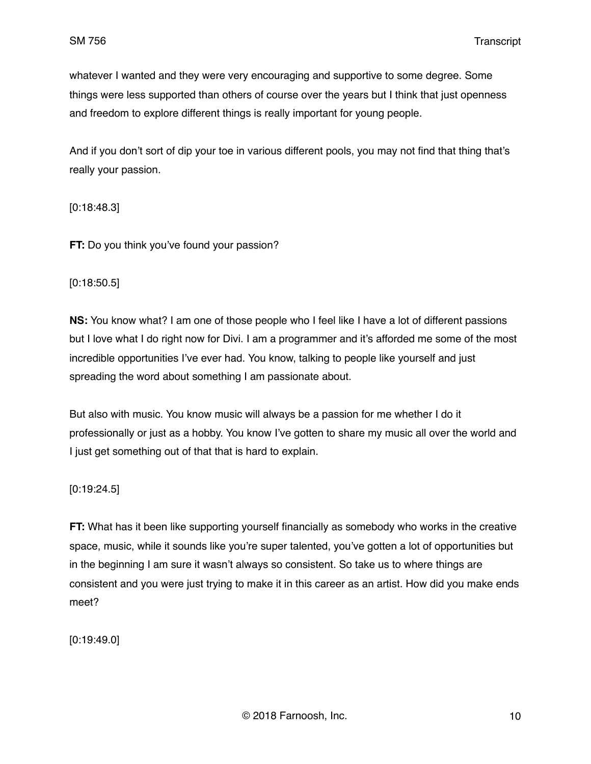whatever I wanted and they were very encouraging and supportive to some degree. Some things were less supported than others of course over the years but I think that just openness and freedom to explore different things is really important for young people.

And if you don't sort of dip your toe in various different pools, you may not find that thing that's really your passion.

[0:18:48.3]

**FT:** Do you think you've found your passion?

[0:18:50.5]

**NS:** You know what? I am one of those people who I feel like I have a lot of different passions but I love what I do right now for Divi. I am a programmer and it's afforded me some of the most incredible opportunities I've ever had. You know, talking to people like yourself and just spreading the word about something I am passionate about.

But also with music. You know music will always be a passion for me whether I do it professionally or just as a hobby. You know I've gotten to share my music all over the world and I just get something out of that that is hard to explain.

[0:19:24.5]

**FT:** What has it been like supporting yourself financially as somebody who works in the creative space, music, while it sounds like you're super talented, you've gotten a lot of opportunities but in the beginning I am sure it wasn't always so consistent. So take us to where things are consistent and you were just trying to make it in this career as an artist. How did you make ends meet?

[0:19:49.0]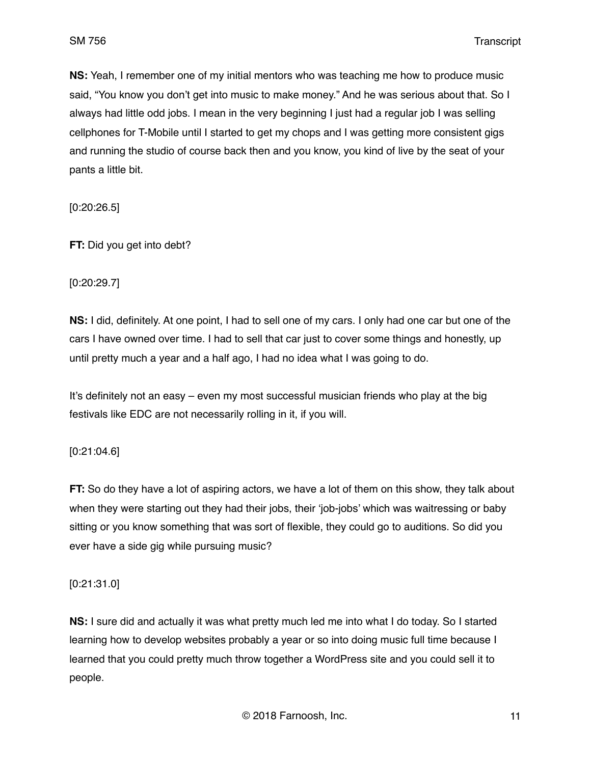**NS:** Yeah, I remember one of my initial mentors who was teaching me how to produce music said, "You know you don't get into music to make money." And he was serious about that. So I always had little odd jobs. I mean in the very beginning I just had a regular job I was selling cellphones for T-Mobile until I started to get my chops and I was getting more consistent gigs and running the studio of course back then and you know, you kind of live by the seat of your pants a little bit.

[0:20:26.5]

**FT:** Did you get into debt?

[0:20:29.7]

**NS:** I did, definitely. At one point, I had to sell one of my cars. I only had one car but one of the cars I have owned over time. I had to sell that car just to cover some things and honestly, up until pretty much a year and a half ago, I had no idea what I was going to do.

It's definitely not an easy – even my most successful musician friends who play at the big festivals like EDC are not necessarily rolling in it, if you will.

[0:21:04.6]

**FT:** So do they have a lot of aspiring actors, we have a lot of them on this show, they talk about when they were starting out they had their jobs, their 'job-jobs' which was waitressing or baby sitting or you know something that was sort of flexible, they could go to auditions. So did you ever have a side gig while pursuing music?

[0:21:31.0]

**NS:** I sure did and actually it was what pretty much led me into what I do today. So I started learning how to develop websites probably a year or so into doing music full time because I learned that you could pretty much throw together a WordPress site and you could sell it to people.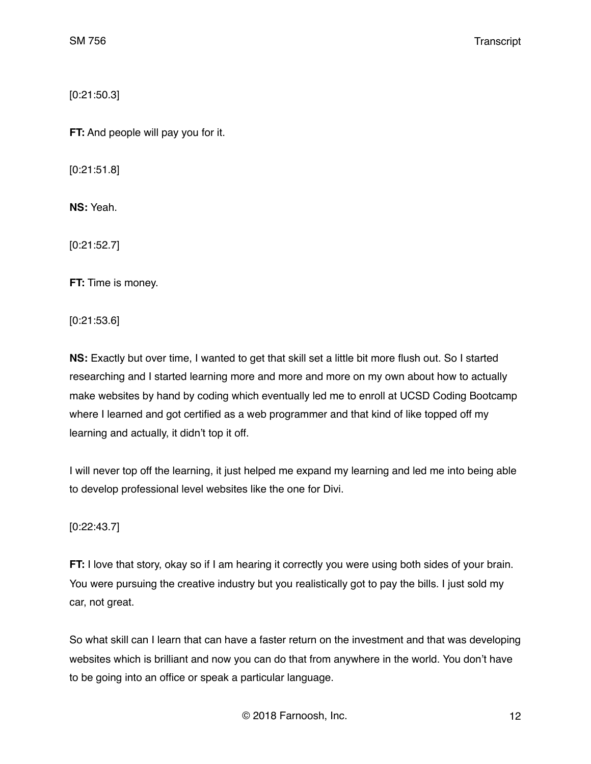[0:21:50.3]

**FT:** And people will pay you for it.

[0:21:51.8]

**NS:** Yeah.

[0:21:52.7]

**FT:** Time is money.

[0:21:53.6]

**NS:** Exactly but over time, I wanted to get that skill set a little bit more flush out. So I started researching and I started learning more and more and more on my own about how to actually make websites by hand by coding which eventually led me to enroll at UCSD Coding Bootcamp where I learned and got certified as a web programmer and that kind of like topped off my learning and actually, it didn't top it off.

I will never top off the learning, it just helped me expand my learning and led me into being able to develop professional level websites like the one for Divi.

[0:22:43.7]

**FT:** I love that story, okay so if I am hearing it correctly you were using both sides of your brain. You were pursuing the creative industry but you realistically got to pay the bills. I just sold my car, not great.

So what skill can I learn that can have a faster return on the investment and that was developing websites which is brilliant and now you can do that from anywhere in the world. You don't have to be going into an office or speak a particular language.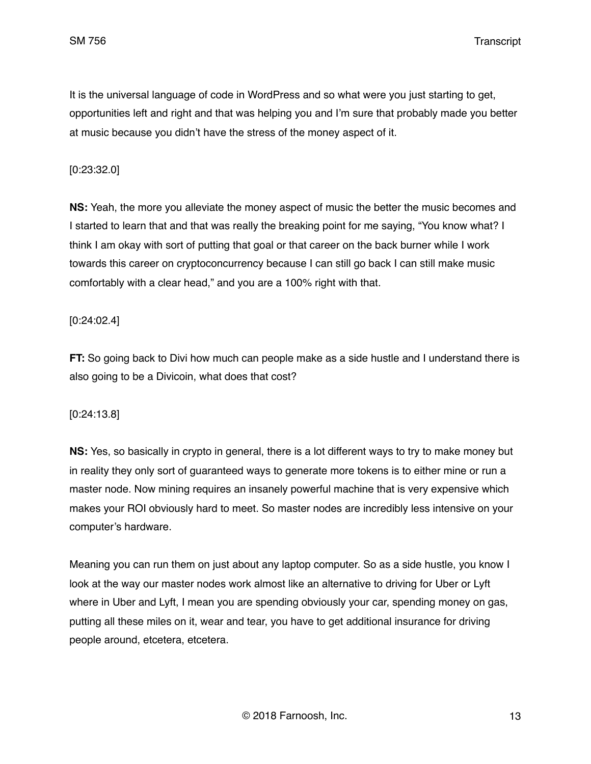It is the universal language of code in WordPress and so what were you just starting to get, opportunities left and right and that was helping you and I'm sure that probably made you better at music because you didn't have the stress of the money aspect of it.

### [0:23:32.0]

**NS:** Yeah, the more you alleviate the money aspect of music the better the music becomes and I started to learn that and that was really the breaking point for me saying, "You know what? I think I am okay with sort of putting that goal or that career on the back burner while I work towards this career on cryptoconcurrency because I can still go back I can still make music comfortably with a clear head," and you are a 100% right with that.

### [0:24:02.4]

**FT:** So going back to Divi how much can people make as a side hustle and I understand there is also going to be a Divicoin, what does that cost?

### [0:24:13.8]

**NS:** Yes, so basically in crypto in general, there is a lot different ways to try to make money but in reality they only sort of guaranteed ways to generate more tokens is to either mine or run a master node. Now mining requires an insanely powerful machine that is very expensive which makes your ROI obviously hard to meet. So master nodes are incredibly less intensive on your computer's hardware.

Meaning you can run them on just about any laptop computer. So as a side hustle, you know I look at the way our master nodes work almost like an alternative to driving for Uber or Lyft where in Uber and Lyft, I mean you are spending obviously your car, spending money on gas, putting all these miles on it, wear and tear, you have to get additional insurance for driving people around, etcetera, etcetera.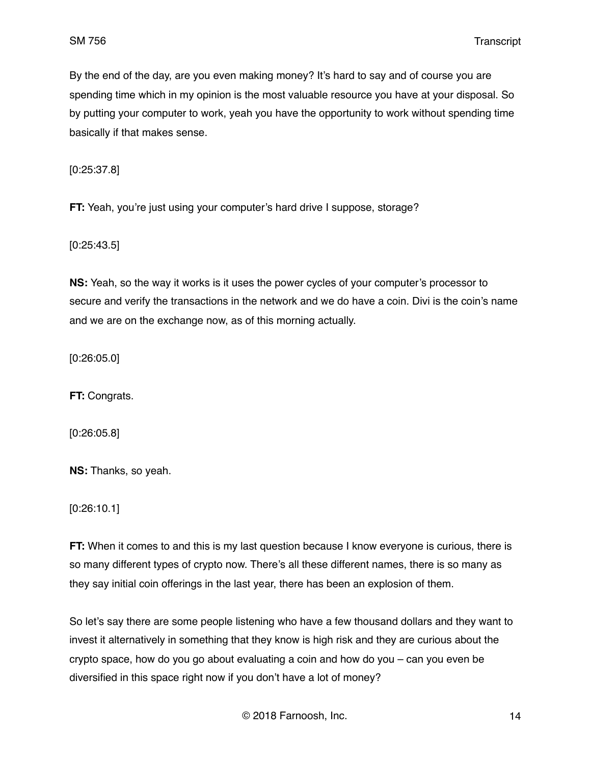By the end of the day, are you even making money? It's hard to say and of course you are spending time which in my opinion is the most valuable resource you have at your disposal. So by putting your computer to work, yeah you have the opportunity to work without spending time basically if that makes sense.

[0:25:37.8]

**FT:** Yeah, you're just using your computer's hard drive I suppose, storage?

[0:25:43.5]

**NS:** Yeah, so the way it works is it uses the power cycles of your computer's processor to secure and verify the transactions in the network and we do have a coin. Divi is the coin's name and we are on the exchange now, as of this morning actually.

[0:26:05.0]

**FT:** Congrats.

[0:26:05.8]

**NS:** Thanks, so yeah.

[0:26:10.1]

**FT:** When it comes to and this is my last question because I know everyone is curious, there is so many different types of crypto now. There's all these different names, there is so many as they say initial coin offerings in the last year, there has been an explosion of them.

So let's say there are some people listening who have a few thousand dollars and they want to invest it alternatively in something that they know is high risk and they are curious about the crypto space, how do you go about evaluating a coin and how do you – can you even be diversified in this space right now if you don't have a lot of money?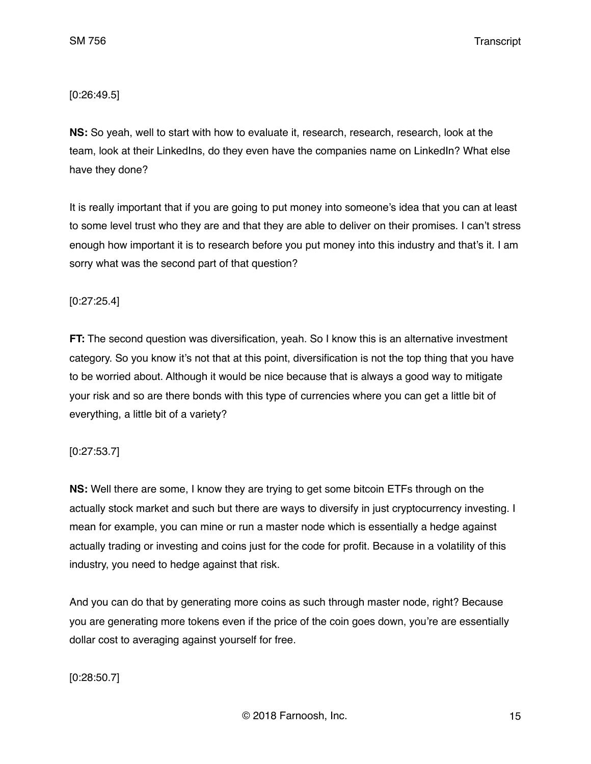## [0:26:49.5]

**NS:** So yeah, well to start with how to evaluate it, research, research, research, look at the team, look at their LinkedIns, do they even have the companies name on LinkedIn? What else have they done?

It is really important that if you are going to put money into someone's idea that you can at least to some level trust who they are and that they are able to deliver on their promises. I can't stress enough how important it is to research before you put money into this industry and that's it. I am sorry what was the second part of that question?

## [0:27:25.4]

**FT:** The second question was diversification, yeah. So I know this is an alternative investment category. So you know it's not that at this point, diversification is not the top thing that you have to be worried about. Although it would be nice because that is always a good way to mitigate your risk and so are there bonds with this type of currencies where you can get a little bit of everything, a little bit of a variety?

## [0:27:53.7]

**NS:** Well there are some, I know they are trying to get some bitcoin ETFs through on the actually stock market and such but there are ways to diversify in just cryptocurrency investing. I mean for example, you can mine or run a master node which is essentially a hedge against actually trading or investing and coins just for the code for profit. Because in a volatility of this industry, you need to hedge against that risk.

And you can do that by generating more coins as such through master node, right? Because you are generating more tokens even if the price of the coin goes down, you're are essentially dollar cost to averaging against yourself for free.

# [0:28:50.7]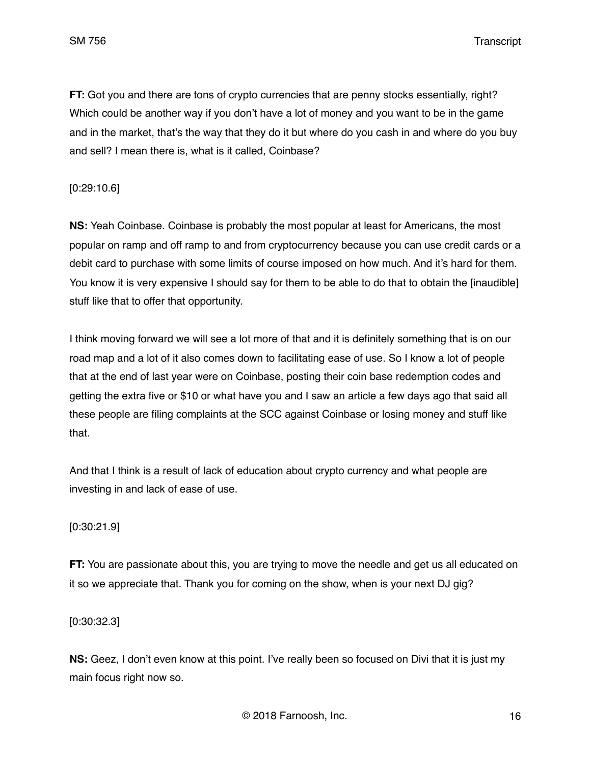SM 756 Transcript

**FT:** Got you and there are tons of crypto currencies that are penny stocks essentially, right? Which could be another way if you don't have a lot of money and you want to be in the game and in the market, that's the way that they do it but where do you cash in and where do you buy and sell? I mean there is, what is it called, Coinbase?

### [0:29:10.6]

**NS:** Yeah Coinbase. Coinbase is probably the most popular at least for Americans, the most popular on ramp and off ramp to and from cryptocurrency because you can use credit cards or a debit card to purchase with some limits of course imposed on how much. And it's hard for them. You know it is very expensive I should say for them to be able to do that to obtain the [inaudible] stuff like that to offer that opportunity.

I think moving forward we will see a lot more of that and it is definitely something that is on our road map and a lot of it also comes down to facilitating ease of use. So I know a lot of people that at the end of last year were on Coinbase, posting their coin base redemption codes and getting the extra five or \$10 or what have you and I saw an article a few days ago that said all these people are filing complaints at the SCC against Coinbase or losing money and stuff like that.

And that I think is a result of lack of education about crypto currency and what people are investing in and lack of ease of use.

### [0:30:21.9]

**FT:** You are passionate about this, you are trying to move the needle and get us all educated on it so we appreciate that. Thank you for coming on the show, when is your next DJ gig?

[0:30:32.3]

**NS:** Geez, I don't even know at this point. I've really been so focused on Divi that it is just my main focus right now so.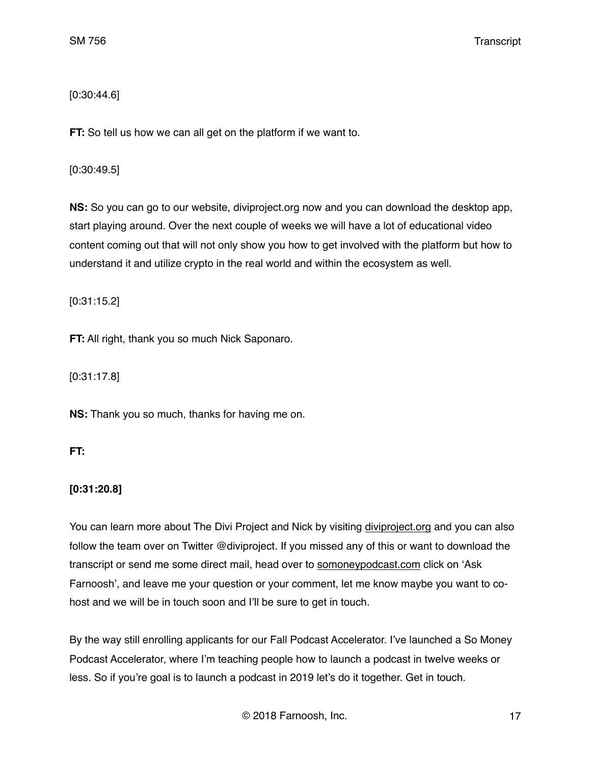[0:30:44.6]

**FT:** So tell us how we can all get on the platform if we want to.

[0:30:49.5]

**NS:** So you can go to our website, diviproject.org now and you can download the desktop app, start playing around. Over the next couple of weeks we will have a lot of educational video content coming out that will not only show you how to get involved with the platform but how to understand it and utilize crypto in the real world and within the ecosystem as well.

[0:31:15.2]

**FT:** All right, thank you so much Nick Saponaro.

[0:31:17.8]

**NS:** Thank you so much, thanks for having me on.

**FT:**

# **[0:31:20.8]**

You can learn more about The Divi Project and Nick by visiting [diviproject.org](http://diviproject.org) and you can also follow the team over on Twitter @diviproject. If you missed any of this or want to download the transcript or send me some direct mail, head over to [somoneypodcast.com](http://somoneypodcast.com) click on 'Ask Farnoosh', and leave me your question or your comment, let me know maybe you want to cohost and we will be in touch soon and I'll be sure to get in touch.

By the way still enrolling applicants for our Fall Podcast Accelerator. I've launched a So Money Podcast Accelerator, where I'm teaching people how to launch a podcast in twelve weeks or less. So if you're goal is to launch a podcast in 2019 let's do it together. Get in touch.